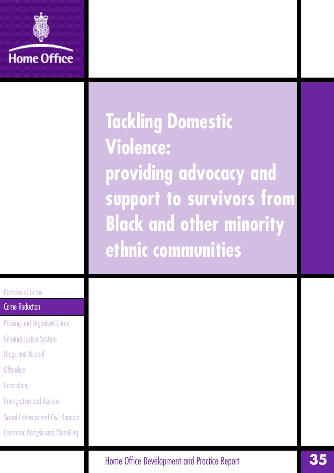

**Tackling Domestic Violence: providing advocacy and support to survivors from Black and other minority ethnic communities**

# Patterns of Crime

# Crime Reduction

- Policing and Organised Crime
- Criminal Justice System
- Drugs and Alcohol
- **Offenders**
- Corrections
- Immigration and Asylum
- Social Cohesion and Civil Renewal
- Economic Analysis and Modelling

Home Office Development and Practice Report **350**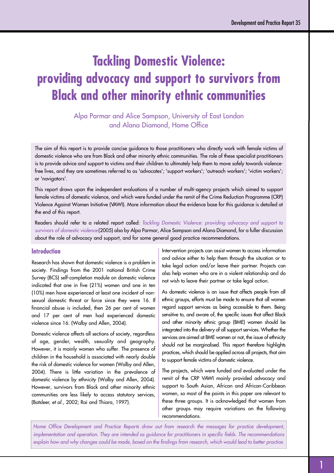# **Tackling Domestic Violence: providing advocacy and support to survivors from Black and other minority ethnic communities**

Alpa Parmar and Alice Sampson, University of East London and Alana Diamond, Home Office

The aim of this report is to provide concise guidance to those practitioners who directly work with female victims of domestic violence who are from Black and other minority ethnic communities. The role of these specialist practitioners is to provide advice and support to victims and their children to ultimately help them to move safely towards violencefree lives, and they are sometimes referred to as 'advocates'; 'support workers'; 'outreach workers'; 'victim workers'; or 'navigators'.

This report draws upon the independent evaluations of a number of multi-agency projects which aimed to support female victims of domestic violence, and which were funded under the remit of the Crime Reduction Programme (CRP) Violence Against Women Initiative (VAWI). More information about the evidence base for this guidance is detailed at the end of this report.

Readers should refer to a related report called: *Tackling Domestic Violence: providing advocacy and support to survivors of domestic violence* (2005) also by Alpa Parmar, Alice Sampson and Alana Diamond, for a fuller discussion about the role of advocacy and support, and for some general good practice recommendations.

#### **Introduction**

Research has shown that domestic violence is a problem in society. Findings from the 2001 national British Crime Survey (BCS) self-completion module on domestic violence indicated that one in five (21%) women and one in ten (10%) men have experienced at least one incident of nonsexual domestic threat or force since they were 16. If financial abuse is included, then 26 per cent of women and 17 per cent of men had experienced domestic violence since 16. (Walby and Allen, 2004).

Domestic violence affects all sections of society, regardless of age, gender, wealth, sexuality and geography. However, it is mainly women who suffer. The presence of children in the household is associated with nearly double the risk of domestic violence for women (Walby and Allen, 2004). There is little variation in the prevalence of domestic violence by ethnicity (Walby and Allen, 2004). However, survivors from Black and other minority ethnic communities are less likely to access statutory services, (Batsleer, *et al.*, 2002; Rai and Thiara, 1997).

Intervention projects can assist women to access information and advice either to help them through the situation or to take legal action and/or leave their partner. Projects can also help women who are in a violent relationship and do not wish to leave their partner or take legal action.

As domestic violence is an issue that affects people from all ethnic groups, efforts must be made to ensure that all women regard support services as being accessible to them. Being sensitive to, and aware of, the specific issues that affect Black and other minority ethnic group (BME) women should be integrated into the delivery of all support services. Whether the services are aimed at BME women or not, the issue of ethnicity should not be marginalised. This report therefore highlights practices, which should be applied across all projects, that aim to support female victims of domestic violence.

The projects, which were funded and evaluated under the remit of the CRP VAWI mainly provided advocacy and support to South Asian, African and African-Caribbean women, so most of the points in this paper are relevant to these three groups. It is acknowledged that women from other groups may require variations on the following recommendations.

Home Office Development and Practice Reports draw out from research the messages for practice development, *implementation and operation. They are intended as guidance for practitioners in specific fields. The recommendations* explain how and why changes could be made, based on the findings from research, which would lead to better practice.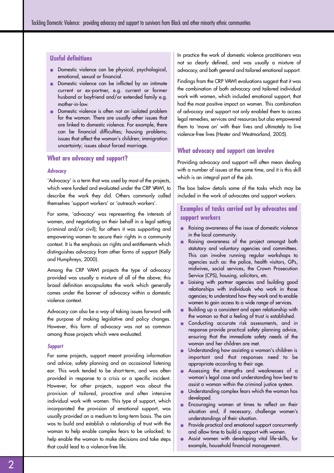### **Useful definitions**

- Domestic violence can be physical, psychological, emotional, sexual or financial.
- Domestic violence can be inflicted by an intimate current or ex-partner, e.g. current or former husband or boyfriend and/or extended family e.g. mother-in-law.
- Domestic violence is often not an isolated problem for the woman. There are usually other issues that are linked to domestic violence. For example, there can be financial difficulties; housing problems; issues that affect the woman's children; immigration uncertainty; issues about forced marriage.

# **What are advocacy and support?**

#### **Advocacy**

'Advocacy' is a term that was used by most of the projects, which were funded and evaluated under the CRP VAWI, to describe the work they did. Others commonly called themselves 'support workers' or 'outreach workers'.

For some, 'advocacy' was representing the interests of women, and negotiating on their behalf in a legal setting (criminal and/or civil); for others it was supporting and empowering women to secure their rights in a community context. It is the emphasis on rights and entitlements which distinguishes advocacy from other forms of support (Kelly and Humphreys, 2000).

Among the CRP VAWI projects the type of advocacy provided was usually a mixture of all of the above; this broad definition encapsulates the work which generally comes under the banner of advocacy within a domestic violence context.

Advocacy can also be a way of taking issues forward with the purpose of making legislative and policy changes. However, this form of advocacy was not so common among those projects which were evaluated.

#### **Support**

For some projects, support meant providing information and advice, safety planning and an occasional listening ear. This work tended to be short-term, and was often provided in response to a crisis or a specific incident. However, for other projects, support was about the provision of tailored, proactive and often intensive individual work with women. This type of support, which incorporated the provision of emotional support, was usually provided on a medium to long-term basis. The aim was to build and establish a relationship of trust with the woman to help enable complex fears to be unlocked; to help enable the woman to make decisions and take steps that could lead to a violence-free life.

In practice the work of domestic violence practitioners was not so clearly defined, and was usually a mixture of advocacy, and both general and tailored emotional support.

Findings from the CRP VAWI evaluations suggest that it was the combination of both advocacy and tailored individual work with women, which included emotional support, that had the most positive impact on women. This combination of advocacy and support not only enabled them to access legal remedies, services and resources but also empowered them to 'move on' with their lives and ultimately to live violence-free lives (Hester and Westmarland, 2005).

# **What advocacy and support can involve**

Providing advocacy and support will often mean dealing with a number of issues at the same time, and it is this skill which is an integral part of the job.

The box below details some of the tasks which may be included in the work of advocates and support workers.

# **Examples of tasks carried out by advocates and support workers**

- Raising awareness of the issue of domestic violence in the local community.
- Raising awareness of the project amongst both statutory and voluntary agencies and committees. This can involve running regular workshops to agencies such as: the police, health visitors, GPs, midwives, social services, the Crown Prosecution Service (CPS), housing, solicitors, etc.
- Liaising with partner agencies and building good relationships with individuals who work in those agencies; to understand how they work and to enable women to gain access to a wide range of services.
- Building up a consistent and open relationship with the woman so that a feeling of trust is established.
- Conducting accurate risk assessments, and in response provide practical safety planning advice, ensuring that the immediate safety needs of the woman and her children are met.
- Understanding how assisting a woman's children is important and that responses need to be appropriate according to their age.
- Assessing the strengths and weaknesses of a woman's legal case and understanding how best to assist a woman within the criminal justice system.
- Understanding complex fears which the woman has developed.
- Encouraging women at times to reflect on their situation and, if necessary, challenge women's understandings of their situation.
- Provide practical and emotional support concurrently and allow time to build a rapport with women.
- Assist women with developing vital life-skills, for example, household financial management.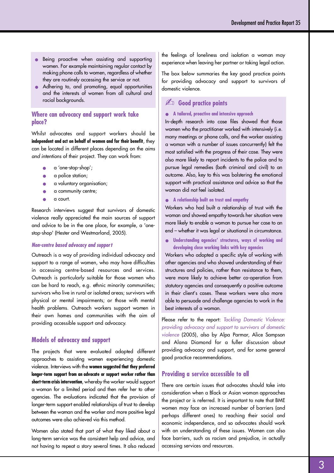- Being proactive when assisting and supporting women. For example maintaining regular contact by making phone calls to women, regardless of whether they are routinely accessing the service or not.
- Adhering to, and promoting, equal opportunities and the interests of women from all cultural and **racial backgrounds.**  $\qquad \qquad \qquad$  **Good practice points**

# **Where can advocacy and support work take place?**

Whilst advocates and support workers should be **independent and act on behalf of women and for their benefit**, they can be located in different places depending on the *aims and intentions* of their project. They can work from:

- a 'one-stop-shop';
- a police station;
- a voluntary organisation;
- a community centre;
- a court.

Research interviews suggest that survivors of domestic violence really appreciated the main sources of support and advice to be in the one place, for example, a 'onestop-shop' (Hester and Westmarland, 2005).

#### **Non-centre based advocacy and support**

Outreach is a way of providing individual advocacy and support to a range of women, who may have difficulties in accessing centre-based resources and services. Outreach is particularly suitable for those women who can be hard to reach, e.g. ethnic minority communities; survivors who live in rural or isolated areas; survivors with physical or mental impairments; or those with mental health problems. Outreach workers support women in their own homes and communities with the aim of providing accessible support and advocacy.

#### **Models of advocacy and support**

The projects that were evaluated adopted different approaches to assisting women experiencing domestic violence. Interviews with the women suggested that they preferred longer-term support from an advocate or support worker rather than short-term crisis intervention, whereby the worker would support a woman for a limited period and then refer her to other agencies. The evaluations indicated that the provision of longer-term support enabled relationships of trust to develop between the woman and the worker and more positive legal outcomes were also achieved via this method.

Women also stated that part of what they liked about a long-term service was the consistent help and advice, and not having to repeat a story several times. It also reduced the feelings of loneliness and isolation a woman may experience when leaving her partner or taking legal action.

The box below summaries the key good practice points for providing advocacy and support to survivors of domestic violence.

#### ● **A tailored, proactive and intensive approach**

In-depth research into case files showed that those women who the practitioner worked with intensively (i.e. many meetings or phone calls, and the worker assisting a woman with a number of issues concurrently) felt the most satisfied with the progress of their case. They were also more likely to report incidents to the police and to pursue legal remedies (both criminal and civil) to an outcome. Also, key to this was bolstering the emotional support with practical assistance and advice so that the woman did not feel isolated.

● **A relationship built on trust and empathy**

Workers who had built a relationship of trust with the woman and showed empathy towards her situation were more likely to enable a woman to pursue her case to an end – whether it was legal or situational in circumstance.

● **Understanding agencies' structures, ways of working and developing close working links with key agencies**

Workers who adopted a specific style of working with other agencies and who showed understanding of their structures and policies, rather than resistance to them, were more likely to achieve better co-operation from statutory agencies and consequently a positive outcome in their client's cases. These workers were also more able to persuade and challenge agencies to work in the best interests of a woman.

Please refer to the report: *Tackling Domestic Violence: p roviding advocacy and support to survivors of domestic violence* (2005), also by Alpa Parmar, Alice Sampson and Alana Diamond for a fuller discussion about p roviding advocacy and support, and for some general good practice recommendations.

### **Providing a service accessible to all**

There are certain issues that advocates should take into consideration when a Black or Asian woman approaches the project or is referred. It is important to note that BME women may face an increased number of barriers (and perhaps different ones) to reaching their social and economic independence, and so advocates should work with an understanding of these issues. Women can also face barriers, such as racism and prejudice, in actually accessing services and resources.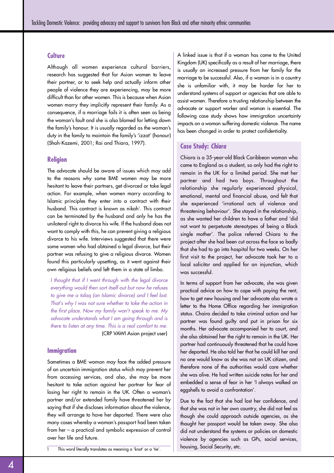#### **Culture**

Although all women experience cultural barriers, research has suggested that for Asian women to leave their partner, or to seek help and actually inform other people of violence they are experiencing, may be more difficult than for other women. This is because when Asian women marry they implicitly represent their family. As a consequence, if a marriage fails it is often seen as being the woman's fault and she is also blamed for letting down the family's honour. It is usually regarded as the woman's duty in the family to maintain the family's 'izzat' (honour) (Shah-Kazemi, 2001; Rai and Thiara, 1997).

#### **Religion**

The advocate should be aware of issues which may add to the reasons why some BME women may be more hesitant to leave their partners, get divorced or take legal action. For example, when women marry according to Islamic principles they enter into a contract with their husband. This contract is known as nikah'. This contract can be terminated by the husband and only he has the unilateral right to divorce his wife. If the husband does not want to comply with this, he can prevent giving a religious divorce to his wife. Interviews suggested that there were some women who had obtained a legal divorce, but their partner was refusing to give a religious divorce. Women found this particularly upsetting, as it went against their own religious beliefs and left them in a state of limbo.

*I thought that if I went through with the legal divorce everything would then sort itself out but now he refuses to give me a talaq (an Islamic divorce) and I feel lost. That's why I was not sure whether to take the action in the first place. Now my family won't speak to me. My advocate understands what I am going through and is there to listen at any time. This is a real comfort to me.* (CRP VAWI Asian project user)

#### **Immigration**

Sometimes a BME woman may face the added pressure of an uncertain immigration status which may prevent her from accessing services, and also, she may be more hesitant to take action against her partner for fear of losing her right to remain in the UK. Often a woman's partner and/or extended family have threatened her by saying that if she discloses information about the violence, they will arrange to have her deported. There were also many cases whereby a woman's passport had been taken from her  $-$  a practical and symbolic expression of control over her life and future.

housing, Social Security, etc. 1 This word literally translates as meaning a 'knot' or a 'tie'.

A linked issue is that if a woman has come to the United Kingdom (UK) specifically as a result of her marriage, there is usually an increased pressure from her family for the marriage to be successful. Also, if a woman is in a country she is unfamiliar with, it may be harder for her to understand systems of support or agencies that are able to assist women. Therefore a trusting relationship between the advocate or support worker and woman is essential. The following case study shows how immigration uncertainty impacts on a woman suffering domestic violence. The name has been changed in order to protect confidentiality.

#### **Case Study: Chiara**

Chiara is a 35-year-old Black Caribbean woman who came to England as a student, so only had the right to remain in the UK for a limited period. She met her partner and had two boys. Throughout the relationship she regularly experienced physical, emotional, mental and financial abuse, and felt that she experienced 'irrational acts of violence and threatening behaviour'. She stayed in the relationship, as she wanted her children to have a father and 'did not want to perpetuate stereotypes of being a Black single mother'. The police referred Chiara to the project after she had been cut across the face so badly that she had to go into hospital for two weeks. On her first visit to the project, her advocate took her to a local solicitor and applied for an injunction, which was successful.

In terms of support from her advocate, she was given practical advice on how to cope with paying the rent, how to get new housing and her advocate also wrote a letter to the Home Office regarding her immigration status. Chaira decided to take criminal action and her partner was found guilty and put in prison for six months. Her advocate accompanied her to court, and she also obtained her the right to remain in the UK. Her partner had continuously threatened that he could have her deported. He also told her that he could kill her and no one would know as she was not an UK citizen, and therefore none of the authorities would care whether she was alive. He had written suicide notes for her and embedded a sense of fear in her 'I always walked on eggshells to avoid a confrontation'.

Due to the fact that she had lost her confidence, and that she was not in her own country, she did not feel as though she could approach outside agencies, as she thought her passport would be taken away. She also did not understand the systems or policies on domestic violence by agencies such as GPs, social services,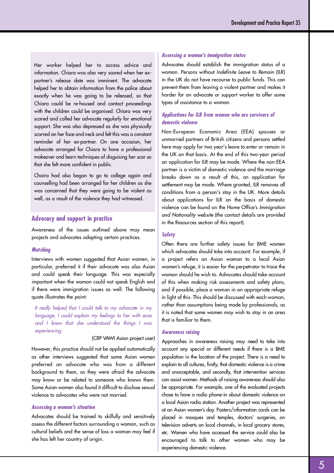Her worker helped her to access advice and information. Chiara was also very scared when her expartner's release date was imminent. The advocate helped her to obtain information from the police about exactly when he was going to be released, so that Chiara could be re-housed and contact proceedings with the children could be organised. Chiara was very scared and called her advocate regularly for emotional support. She was also depressed as she was physically scarred on her face and neck and felt this was a constant reminder of her ex-partner. On one occasion, her advocate arranged for Chiara to have a professional makeover and learn techniques of disguising her scar so that she felt more confident in public.

Chaira had also began to go to college again and counselling had been arranged for her children as she was concerned that they were going to be violent as well, as a result of the violence they had witnessed.

# **Advocacy and support in practice**

Awareness of the issues outlined above may mean p rojects and advocates adopting certain practices.

#### **Matching**

Interviews with women suggested that Asian women, in particular, preferred it if their advocate was also Asian and could speak their language. This was especially important when the woman could not speak English and if there were immigration issues as well. The following quote illustrates the point:

*It really helped that I could talk to my advocate in my language, I could explain my feelings to her with ease and I knew that she understood the things I was experiencing.* 

#### (CRP VAWI Asian project user)

However, this practice should not be applied automatically as other interviews suggested that some Asian women preferred an advocate who was from a different background to them, as they were afraid the advocate may know or be related to someone who knows them. Some Asian women also found it difficult to disclose sexual violence to advocates who were not married.

#### **Assessing a woman's situation**

Advocates should be trained to skilfully and sensitively assess the different factors surrounding a woman, such as cultural beliefs and the sense of loss a woman may feel if she has left her country of origin.

#### **Assessing a woman's immigration status**

Advocates should establish the immigration status of a woman. Persons without *Indefinite Leave to Remain* (ILR) in the UK do not have recourse to public funds. This can prevent them from leaving a violent partner and makes it harder for an advocate or support worker to offer some types of assistance to a woman.

#### **Applications for ILR from women who are survivors of domestic violence**

Non-European Economic Area (EEA) spouses or unmarried partners of British citizens and persons settled here may apply for two year's leave to enter or remain in the UK on that basis. At the end of this two-year period an application for ILR may be made. Where the non-EEA partner is a victim of domestic violence and the marriage breaks down as a result of this, an application for settlement may be made. Where granted, ILR removes all conditions from a person's stay in the UK. More details about applications for ILR on the basis of domestic violence can be found on the Home Office's *Immigration and Nationality website* (the contact details are provided in the Resources section of this report).

#### **Safety**

Often there are further safety issues for BME women which advocates should take into account. For example, if a project refers an Asian woman to a local Asian women's refuge, it is easier for the perpetrator to trace the woman should he wish to. Advocates should take account of this when making risk assessments and safety plans, and if possible, place a woman in an appropriate refuge in light of this. This should be discussed with each woman, rather than assumptions being made by professionals, as it is noted that some women may wish to stay in an area that is familiar to them.

#### **Awareness raising**

Approaches in awareness raising may need to take into account any special or different needs if there is a BME population in the location of the project. There is a need to explain to all cultures, firstly, that domestic violence is a crime and unacceptable, and secondly, that intervention services can assist women. Methods of raising awareness should also be appropriate. For example, one of the evaluated projects chose to have a radio phone-in about domestic violence on a local Asian radio station. Another project was represented at an Asian women's day. Posters/information cards can be placed in mosques and temples, doctors' surgeries, on television adverts on local channels, in local grocery stores, etc. Women who have accessed the service could also be encouraged to talk to other women who may be experiencing domestic violence.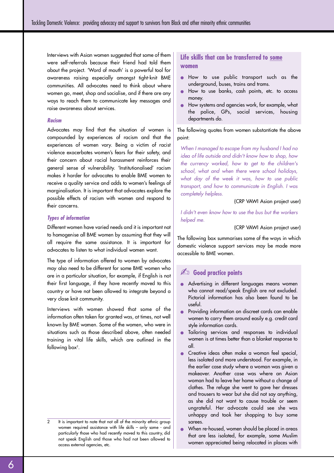Interviews with Asian women suggested that some of them were self-referrals because their friend had told them about the project. 'Word of mouth' is a powerful tool for awareness raising especially amongst tight-knit BME communities. All advocates need to think about where women go, meet, shop and socialise, and if there are any ways to reach them to communicate key messages and raise awareness about services.

#### **R a c i s m**

Advocates may find that the situation of women is compounded by experiences of racism and that the experiences of women vary. Being a victim of racist violence exacerbates women's fears for their safety, and their concern about racial harassment reinforces their general sense of vulnerability. 'Institutionalised' racism makes it harder for advocates to enable BME women to receive a quality service and adds to women's feelings of marginalisation. It is important that advocates explore the possible effects of racism with women and respond to their concerns.

#### **Types of information**

Different women have varied needs and it is important not to homogenise all BME women by assuming that they will all require the same assistance. It is important for advocates to listen to what individual women want.

The type of information offered to women by advocates may also need to be different for some BME women who are in a particular situation, for example, if English is not their first language, if they have recently moved to this country or have not been allowed to integrate beyond a very close knit community.

Interviews with women showed that some of the information often taken for granted was, at times, not well known by BME women. Some of the women, who were in situations such as those described above, often needed training in vital life skills, which are outlined in the following box $2$ .

# **Life skills that can be transferred to some women**

- How to use public transport such as the underground, buses, trains and trams.
- How to use banks, cash points, etc. to access money.
- How systems and agencies work, for example, what the police, GPs, social services, housing departments do.

The following quotes from women substantiate the above point:

*When I managed to escape from my husband I had no idea of life outside and didn't know how to shop, how the currency worked, how to get to the children's school, what and when there were school holidays, what day of the week it was, how to use public transport, and how to communicate in English. I was completely helpless.*

#### (CRP VAWI Asian project user)

*I didn't even know how to use the bus but the workers helped me.*

(CRP VAWI Asian project user)

The following box summarises some of the ways in which domestic violence support services may be made more accessible to BME women.

# ✍ **Good practice points**

- Advertising in different languages means women who cannot read/speak English are not excluded. Pictorial information has also been found to be useful.
- Providing information on discreet cards can enable women to carry them around easily e.g. credit card style information cards.
- Tailoring services and responses to individual women is at times better than a blanket response to all.
- Creative ideas often make a woman feel special, less isolated and more understood. For example, in the earlier case study where a woman was given a makeover. Another case was where an Asian woman had to leave her home without a change of clothes. The refuge she went to gave her dresses and trousers to wear but she did not say anything, as she did not want to cause trouble or seem ungrateful. Her advocate could see she was unhappy and took her shopping to buy some sarees.
- When re-housed, women should be placed in areas that are less isolated, for example, some Muslim women appreciated being relocated in places with

It is important to note that not all of the minority ethnic group women required assistance with life skills – only some - and particularly those who had recently moved to this country, did not speak English and those who had not been allowed to access external agencies, etc.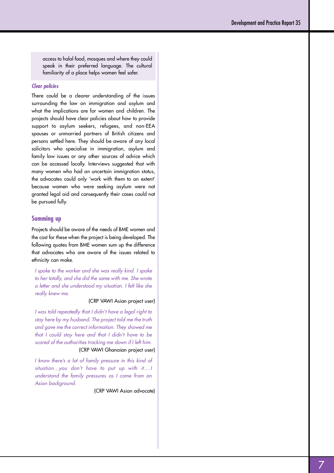access to halal food, mosques and where they could speak in their preferred language. The cultural familiarity of a place helps women feel safer.

#### **Clear policies**

There could be a clearer understanding of the issues surrounding the law on immigration and asylum and what the implications are for women and children. The projects should have clear policies about how to provide support to asylum seekers, refugees, and non-EEA spouses or unmarried partners of British citizens and persons settled here. They should be aware of any local solicitors who specialise in immigration, asylum and family law issues or any other sources of advice which can be accessed locally. Interviews suggested that with many women who had an uncertain immigration status, the advocates could only 'work with them to an extent' because women who were seeking asylum were not granted legal aid and consequently their cases could not be pursued fully.

#### **Summing up**

Projects should be aware of the needs of BME women and the cost for these when the project is being developed. The following quotes from BME women sum up the difference that advocates who are aware of the issues related to ethnicity can make.

*I spoke to the worker and she was really kind. I spoke to her totally, and she did the same with me. She wrote a letter and she understood my situation. I felt like she really knew me.*

#### (CRP VAWI Asian project user)

*I was told repeatedly that I didn't have a legal right to* stay here by my husband. The project told me the truth *and gave me the correct information. They showed me that I could stay here and that I didn't have to be s c a red of the authorities tracking me down if I left him.* (CRP VAWI Ghanaian project user)

*I know there's a lot of family pressure in this kind of situation…you don't have to put up with it….I* understand the family pressures as I come from an Asian background.

(CRP VAWI Asian advocate)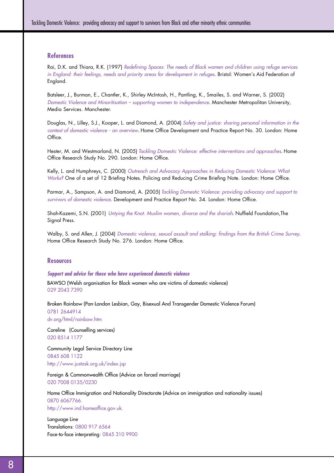# **References**

Rai, D.K. and Thiara, R.K. (1997) *Redefining Spaces: The needs of Black women and children using refuge services in England: their feelings, needs and priority areas for development in refuges*. Bristol: Women's Aid Federation of England.

Batsleer, J., Burman, E., Chantler, K., Shirley McIntosh, H., Pantling, K., Smailes, S. and Warner, S. (2002) *Domestic Violence and Minoritisation – supporting women to independence*. Manchester Metropolitan University, Media Services. Manchester.

Douglas, N., Lilley, S.J., Kooper, L. and Diamond, A. (2004) *Safety and justice: sharing personal information in the context of domestic violence - an overview*. Home Office Development and Practice Report No. 30. London: Home Office.

Hester, M. and Westmarland, N. (2005) *Tackling Domestic Violence: effective interventions and approaches*. Home Office Research Study No. 290. London: Home Office.

Kelly, L. and Humphreys, C. (2000) *Outreach and Advocacy Approaches in Reducing Domestic Violence: What Works?* One of a set of 12 Briefing Notes. Policing and Reducing Crime Briefing Note. London: Home Office.

Parmar, A., Sampson, A. and Diamond, A. (2005) *Tackling Domestic Violence: providing advocacy and support to survivors of domestic violence*. Development and Practice Report No. 34. London: Home Office.

Shah-Kazemi, S.N. (2001) *Untying the Knot. Muslim women, divorce and the shariah*. Nuffield Foundation,The Signal Press.

Walby, S. and Allen, J. (2004) *Domestic violence, sexual assault and stalking: findings from the British Crime Survey*. Home Office Research Study No. 276. London: Home Office.

#### **Resources**

#### **Support and advice for those who have experienced domestic violence**

BAWSO (Welsh organisation for Black women who are victims of domestic violence) 029 2043 7390

Broken Rainbow (Pan-London Lesbian, Gay, Bisexual And Transgender Domestic Violence Forum) 0781 2644914 dv.org/html/rainbow.htm

Careline (Counselling services) 020 8514 1177

Community Legal Service Directory Line 0845 608 1122 http://www.justask.org.uk/index.jsp

Foreign & Commonwealth Office (Advice on forced marriage) 020 7008 0135/0230

Home Office Immigration and Nationality Directorate (Advice on immigration and nationality issues) 0870 6067766. http://www.ind.homeoffice.gov.uk.

Language Line Translations: 0800 917 6564 Face-to-face interpreting: 0845 310 9900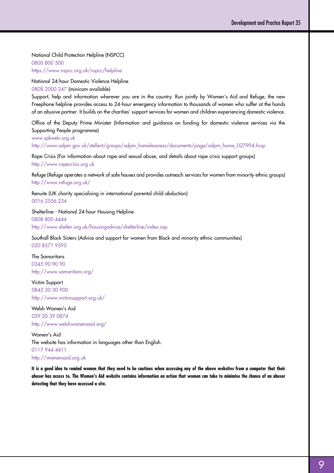National Child Protection Helpline (NSPCC)

0800 800 500 https://www.nspcc.org.uk/nspcc/helpline

National 24-hour Domestic Violence Helpline 0808 2000 247 (minicom available)

Support, help and information wherever you are in the country. Run jointly by Women's Aid and Refuge, the new Freephone helpline provides access to 24-hour emergency information to thousands of women who suffer at the hands of an abusive partner. It builds on the charities' support services for women and children experiencing domestic violence.

Office of the Deputy Prime Minister (Information and guidance on funding for domestic violence services via the Supporting People programme)

www.spkweb.org.uk http://www.odpm.gov.uk/stellent/groups/odpm\_homelessness/documents/page/odpm\_home\_027994.hcsp

Rape Crisis (For information about rape and sexual abuse, and details about rape crisis support groups) http://www.rapecrisis.org.uk

Refuge (Refuge operates a network of safe houses and provides outreach services for women from minority ethnic groups) http://www.refuge.org.uk/

Renuite (UK charity specialising in international parental child abduction) 0016 2556 234

Shelterline - National 24-hour Housing Helpline 0808 800 4444 http://www.shelter.org.uk/housingadvice/shelterline/index.asp

Southall Black Sisters (Advice and support for women from Black and minority ethnic communities) 020 8571 9595

The Samaritans 0345 90 90 90 http://www.samaritans.org/

Victim Support 0845 30 30 900 http://www.victimsupport.org.uk/

Welsh Women's Aid 029 20 39 0874 http://www.welshwomensaid.org/

Women's Aid The website has information in languages other than English. 0117 944 4411 http://womensaid.org.uk

**It is a good idea to remind women that they need to be cautious when accessing any of the above websites from a computer that their abuser has access to. The Women's Aid website contains information on action that women can take to minimise the chance of an abuser detecting that they have accessed a site.**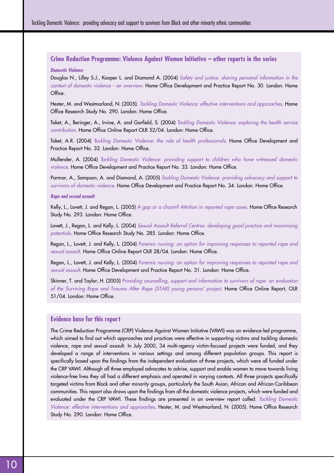# **Crime Reduction Programme: Violence Against Women Initiative – other reports in the series**

**Domestic Violence**

Douglas N., Lilley S.J., Kooper L. and Diamond A. (2004) *Safety and justice: sharing personal information in the context of domestic violence - an overview*. Home Office Development and Practice Report No. 30. London: Home Office.

Hester, M. and Westmarland, N. (2005). *Tackling Domestic Violence: effective interventions and approaches*. Home Office Research Study No. 290. London: Home Office.

Taket, A., Beringer, A., Irvine, A. and Garfield, S. (2004) *Tackling Domestic Violence: exploring the health service contribution*. Home Office Online Report OLR 52/04. London: Home Office.

Taket, A.R. (2004) *Tackling Domestic Violence: the role of health professionals*. Home Office Development and Practice Report No. 32. London: Home Office.

Mullender, A. (2004) *Tackling Domestic Violence: providing support to children who have witnessed domestic violence*. Home Office Development and Practice Report No. 33. London: Home Office.

Parmar, A., Sampson, A. and Diamond, A. (2005) *Tackling Domestic Violence: providing advocacy and support to survivors of domestic violence*. Home Office Development and Practice Report No. 34. London: Home Office.

#### **Rape and sexual assault**

Kelly, L., Lovett, J. and Regan, L. (2005) *A gap or a chasm? Attrition in reported rape cases.* Home Office Research Study No. 293. London: Home Office.

Lovett, J., Regan, L. and Kelly, L. (2004) *Sexual Assault Referral Centres: developing good practice and maximising potentials*. Home Office Research Study No. 285. London: Home Office.

Regan, L., Lovett, J. and Kelly, L. (2004) *Forensic nursing: an option for improving responses to reported rape and sexual assault*. Home Office Online Report OLR 28/04. London: Home Office.

Regan, L., Lovett, J. and Kelly, L. (2004) *Forensic nursing: an option for improving responses to reported rape and sexual assault*. Home Office Development and Practice Report No. 31. London: Home Office.

Skinner, T. and Taylor, H. (2005) *Providing counselling, support and information to survivors of rape: an evaluation of the Surviving Rape and Trauma After Rape (STAR) young persons' project*. Home Office Online Report, OLR 51/04. London: Home Office.

#### **Evidence base for this report**

The Crime Reduction Programme (CRP) Violence Against Women Initiative (VAWI) was an evidence-led programme, which aimed to find out which approaches and practices were effective in supporting victims and tackling domestic violence, rape and sexual assault. In July 2000, 34 multi-agency victim-focused projects were funded, and they developed a range of interventions in various settings and among different population groups. This report is specifically based upon the findings from the independent evaluation of three projects, which were all funded under the CRP VAWI. Although all three employed advocates to advise, support and enable women to move towards living violence-free lives they all had a different emphasis and operated in varying contexts. All three projects specifically targeted victims from Black and other minority groups, particularly the South Asian, African and African-Caribbean communities. This report also draws upon the findings from all the domestic violence projects, which were funded and evaluated under the CRP VAWI. These findings are presented in an overview report called: *Tackling Domestic Violence: effective interventions and approaches*. Hester, M. and Westmarland, N. (2005). Home Office Research Study No. 290. London: Home Office.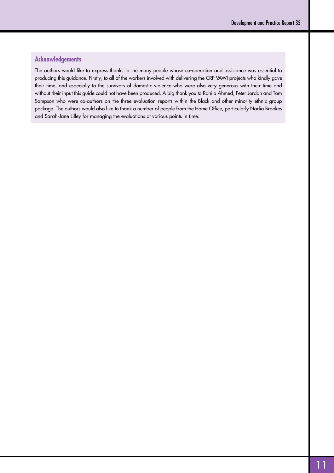# **Acknowledgements**

The authors would like to express thanks to the many people whose co-operation and assistance was essential to producing this guidance. Firstly, to all of the workers involved with delivering the CRP VAWI projects who kindly gave their time, and especially to the survivors of domestic violence who were also very generous with their time and without their input this guide could not have been produced. A big thank you to Rahila Ahmed, Peter Jordan and Tom Sampson who were co-authors on the three evaluation reports within the Black and other minority ethnic group package. The authors would also like to thank a number of people from the Home Office, particularly Nadia Brookes and Sarah-Jane Lilley for managing the evaluations at various points in time.